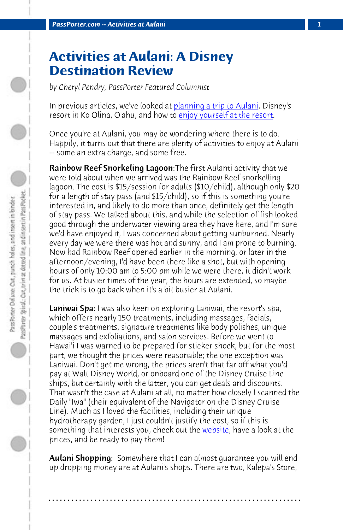*PassPorter.com -- Activities at Aulani 1*

## **Activities at Aulani: A Disney Destination Review**

*by Cheryl Pendry, PassPorter Featured Columnist*

In previous articles, we've looked at planning a trip to Aulani, Disney's resort in Ko Olina, O'ahu, and how to enjoy yourself at the resort.

Once you're at Aulani, you may be wondering where there is to do. Happily, it turns out that there are plenty of activities to enjoy at Aulani -- some an extra charge, and some free.

Rainbow Reef Snorkeling Lagoon:The first Aulanti activity that we were told about when we arrived was the Rainbow Reef snorkelling lagoon. The cost is \$15/session for adults (\$10/child), although only \$20 for a length of stay pass (and  $$15/child$ ), so if this is something you're interested in, and likely to do more than once, definitely get the length of stay pass. We talked about this, and while the selection of fish looked good through the underwater viewing area they have here, and I'm sure we'd have enjoyed it, I was concerned about getting sunburned. Nearly every day we were there was hot and sunny, and I am prone to burning. Now had Rainbow Reef opened earlier in the morning, or later in the afternoon/evening, I'd have been there like a shot, but with opening hours of only 10:00 am to 5:00 pm while we [were th](http://resorts.disney.go.com/aulani-hawaii-resort/activities-amenities/spa-fitness/spa/spa-therapies/)ere, it didn't work for us. At busier times of the year, the hours are extended, so maybe the trick is to go back when it's a bit busier at Aulani.

Laniwai Spa: I was also keen on exploring Laniwai, the resort's spa, which offers nearly 150 treatments, including massages, facials, couple's treatments, signature treatments like body polishes, unique massages and exfoliations, and salon services. Before we went to Hawai'i I was warned to be prepared for sticker shock, but for the most part, we thought the prices were reasonable; the one exception was Laniwai. Don't get me wrong, the prices aren't that far off what you'd pay at Walt Disney World, or onboard one of the Disney Cruise Line ships, but certainly with the latter, you can get deals and discounts. That wasn't the case at Aulani at all, no matter how closely I scanned the Daily "Iwa" (their equivalent of the Navigator on the Disney Cruise Line). Much as I loved the facilities, including their unique hydrotherapy garden, I just couldn't justify the cost, so if this is something that interests you, check out the website, have a look at the prices, and be ready to pay them!

Aulani Shopping: Somewhere that I can almost quarantee you will end up dropping money are at Aulani's shops. There are two, Kalepa's Store,

**. . . . . . . . . . . . . . . . . . . . . . . . . . . . . . . . . . . . . . . . . . . . . . . . . . . . . . . . . . . . . . . . . .**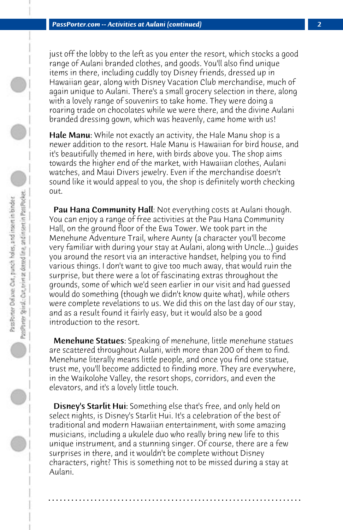just off the lobby to the left as you enter the resort, which stocks a good range of Aulani branded clothes, and goods. You'll also find unique items in there, including cuddly toy Disney friends, dressed up in Hawaiian gear, along with Disney Vacation Club merchandise, much of again unique to Aulani. There's a small grocery selection in there, along with a lovely range of souvenirs to take home. They were doing a roaring trade on chocolates while we were there, and the divine Aulani branded dressing gown, which was heavenly, came home with us!

Hale Manu: While not exactly an activity, the Hale Manu shop is a newer addition to the resort. Hale Manu is Hawaiian for bird house, and it's beautifully themed in here, with birds above you. The shop aims towards the higher end of the market, with Hawaiian clothes, Aulani watches, and Maui Divers jewelry. Even if the merchandise doesn't sound like it would appeal to you, the shop is definitely worth checking out.

Pau Hana Community Hall: Not everything costs at Aulani though. You can enjoy a range of free activities at the Pau Hana Community Hall, on the ground floor of the Ewa Tower. We took part in the Menehune Adventure Trail, where Aunty (a character you'll become very familiar with during your stay at Aulani, along with Uncle...) guides you around the resort via an interactive handset, helping you to find various things. I don't want to give too much away, that would ruin the surprise, but there were a lot of fascinating extras throughout the grounds, some of which we'd seen earlier in our visit and had guessed would do something (though we didn't know quite what), while others were complete revelations to us. We did this on the last day of our stay, and as a result found it fairly easy, but it would also be a good introduction to the resort.

 Menehune Statues: Speaking of menehune, little menehune statues are scattered throughout Aulani, with more than 200 of them to find. Menehune literally means little people, and once you find one statue, trust me, you'll become addicted to finding more. They are everywhere, in the Waikolohe Valley, the resort shops, corridors, and even the elevators, and it's a lovely little touch.

Disney's Starlit Hui: Something else that's free, and only held on select nights, is Disney's Starlit Hui. It's a celebration of the best of traditional and modern Hawaiian entertainment, with some amazing musicians, including a ukulele duo who really bring new life to this unique instrument, and a stunning singer. Of course, there are a few surprises in there, and it wouldn't be complete without Disney characters, right? This is something not to be missed during a stay at Aulani.

**. . . . . . . . . . . . . . . . . . . . . . . . . . . . . . . . . . . . . . . . . . . . . . . . . . . . . . . . . . . . . . . . . .**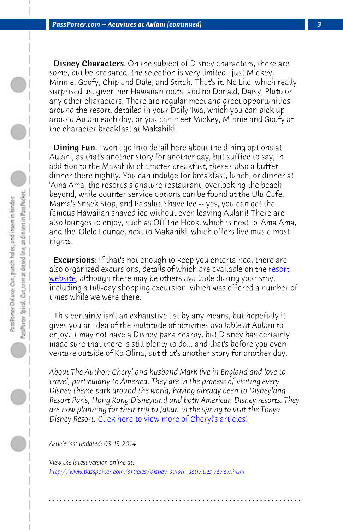*PassPorter.com -- Activities at Aulani (continued) 3*

**Disney Characters:** On the subject of Disney characters, there are some, but be prepared; the selection is very limited--just Mickey, Minnie, Goofy, Chip and Dale, and Stitch. That's it. No Lilo, which really surprised us, given her Hawaiian roots, and no Donald, Daisy, Pluto or any other characters. There are regular meet and greet opportunities around the resort, detailed in your Daily 'Iwa, which you can pi[ck up](http://resorts.disney.go.com/aulani-hawaii-resort/) [around A](http://resorts.disney.go.com/aulani-hawaii-resort/)ulani each day, or you can meet Mickey, Minnie and Goofy at the character breakfast at Makahiki.

 Dining Fun: I won't go into detail here about the dining options at Aulani, as that's another story for another day, but suffice to say, in addition to the Makahiki character breakfast, there's also a buffet dinner there nightly. You can indulge for breakfast, lunch, or dinner at 'Ama Ama, the resort's signature restaurant, overlooking the beach beyond, while counter service options can be found at the Ulu Cafe, Mama's Snack Stop, and Papalua Shave Ice -- yes, you can get the famous Hawaiian shaved ice without even leaving Aulani! There are also lounges to enjoy, such as Off the Hook, which is next to 'Ama Ama, and the 'Olelo Lounge, next to Makahiki, which offers live music most nights.

**Excursions:** [If that](http://www.passporter.com/articles/cheryl-pendry-featured-columnist.asp)'[s not enough to keep you entertained](http://www.passporter.com/articles/cheryl-pendry-featured-columnist.asp), there are also organized excursions, details of which are available on the resort website, although there may be others available during your stay, including a full-day shopping excursion, which was offered a number of times while we were there.

 [This certainly isn't an exhaustive list by any means, but](http://www.passporter.com/articles/disney-aulani-activities-review.php) hopefully it gives you an idea of the multitude of activities available at Aulani to enjoy. It may not have a Disney park nearby, but Disney has certainly made sure that there is still plenty to do... and that's before you even venture outside of Ko Olina, but that's another story for another day.

*About The Author: Cheryl and husband Mark live in England and love to travel, particularly to America. They are in the process of visiting every Disney theme park around the world, having already been to Disneyland Resort Paris, Hong Kong Disneyland and both American Disney resorts. They are now planning for their trip to Japan in the spring to visit the Tokyo Disney Resort.* Click here to view more of Cheryl's articles!

**. . . . . . . . . . . . . . . . . . . . . . . . . . . . . . . . . . . . . . . . . . . . . . . . . . . . . . . . . . . . . . . . . .**

*Article last updated: 03-13-2014*

*View the latest version online at: http://www.passporter.com/articles/disney-aulani-activities-review.html*